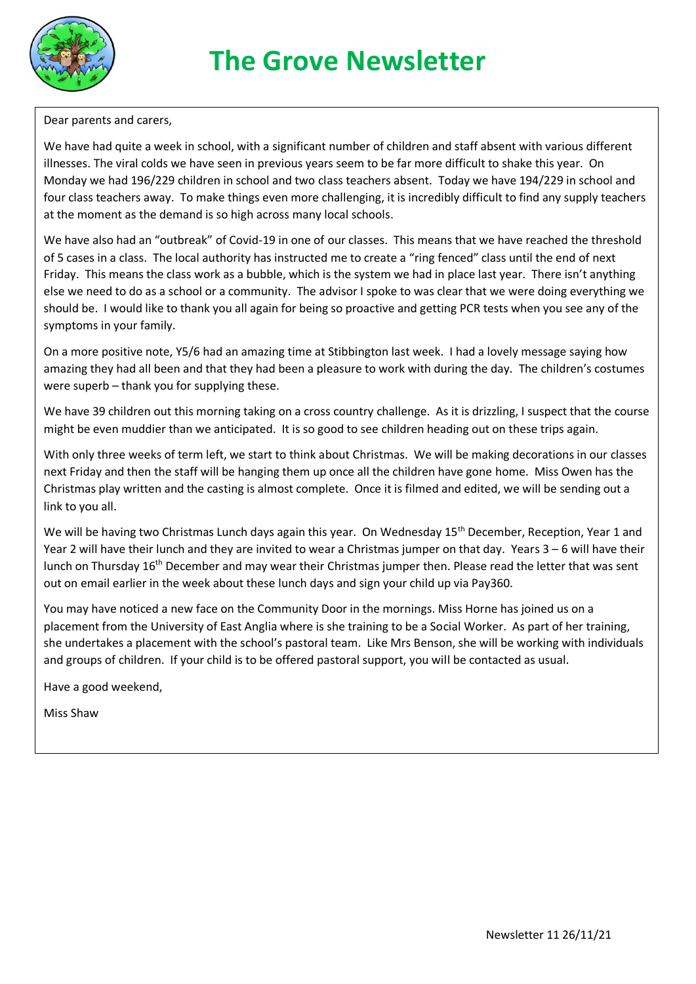

Dear parents and carers,

We have had quite a week in school, with a significant number of children and staff absent with various different illnesses. The viral colds we have seen in previous years seem to be far more difficult to shake this year. On Monday we had 196/229 children in school and two class teachers absent. Today we have 194/229 in school and four class teachers away. To make things even more challenging, it is incredibly difficult to find any supply teachers at the moment as the demand is so high across many local schools.

We have also had an "outbreak" of Covid-19 in one of our classes. This means that we have reached the threshold of 5 cases in a class. The local authority has instructed me to create a "ring fenced" class until the end of next Friday. This means the class work as a bubble, which is the system we had in place last year. There isn't anything else we need to do as a school or a community. The advisor I spoke to was clear that we were doing everything we should be. I would like to thank you all again for being so proactive and getting PCR tests when you see any of the symptoms in your family.

On a more positive note, Y5/6 had an amazing time at Stibbington last week. I had a lovely message saying how amazing they had all been and that they had been a pleasure to work with during the day. The children's costumes were superb – thank you for supplying these.

We have 39 children out this morning taking on a cross country challenge. As it is drizzling, I suspect that the course might be even muddier than we anticipated. It is so good to see children heading out on these trips again.

With only three weeks of term left, we start to think about Christmas. We will be making decorations in our classes next Friday and then the staff will be hanging them up once all the children have gone home. Miss Owen has the Christmas play written and the casting is almost complete. Once it is filmed and edited, we will be sending out a link to you all.

We will be having two Christmas Lunch days again this year. On Wednesday 15<sup>th</sup> December, Reception, Year 1 and Year 2 will have their lunch and they are invited to wear a Christmas jumper on that day. Years 3 – 6 will have their lunch on Thursday 16<sup>th</sup> December and may wear their Christmas jumper then. Please read the letter that was sent out on email earlier in the week about these lunch days and sign your child up via Pay360.

You may have noticed a new face on the Community Door in the mornings. Miss Horne has joined us on a placement from the University of East Anglia where is she training to be a Social Worker. As part of her training, she undertakes a placement with the school's pastoral team. Like Mrs Benson, she will be working with individuals and groups of children. If your child is to be offered pastoral support, you will be contacted as usual.

Have a good weekend,

Miss Shaw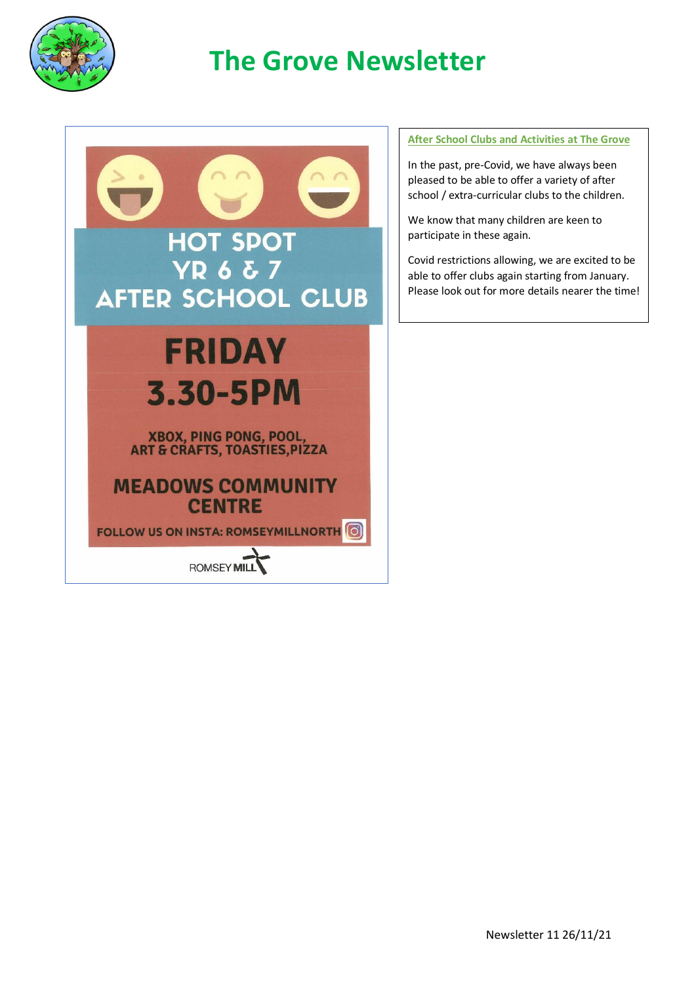

## **The Grove Newsletter**



## **After School Clubs and Activities at The Grove**

In the past, pre-Covid, we have always been pleased to be able to offer a variety of after school / extra-curricular clubs to the children.

We know that many children are keen to participate in these again.

Covid restrictions allowing, we are excited to be able to offer clubs again starting from January. Please look out for more details nearer the time!